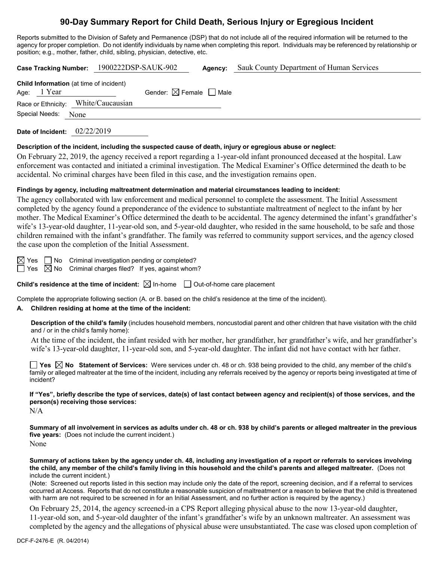# **90-Day Summary Report for Child Death, Serious Injury or Egregious Incident**

Reports submitted to the Division of Safety and Permanence (DSP) that do not include all of the required information will be returned to the agency for proper completion. Do not identify individuals by name when completing this report. Individuals may be referenced by relationship or position; e.g., mother, father, child, sibling, physician, detective, etc.

| Case Tracking Number: 1900222DSP-SAUK-902                     |  |                                        | Agency: | Sauk County Department of Human Services |
|---------------------------------------------------------------|--|----------------------------------------|---------|------------------------------------------|
| <b>Child Information</b> (at time of incident)<br>Age: 1 Year |  | Gender: $\boxtimes$ Female $\Box$ Male |         |                                          |
| Race or Ethnicity: White/Caucausian                           |  |                                        |         |                                          |
| Special Needs: None                                           |  |                                        |         |                                          |

**Date of Incident:** 02/22/2019

## **Description of the incident, including the suspected cause of death, injury or egregious abuse or neglect:**

On February 22, 2019, the agency received a report regarding a 1-year-old infant pronounced deceased at the hospital. Law enforcement was contacted and initiated a criminal investigation. The Medical Examiner's Office determined the death to be accidental. No criminal charges have been filed in this case, and the investigation remains open.

## **Findings by agency, including maltreatment determination and material circumstances leading to incident:**

The agency collaborated with law enforcement and medical personnel to complete the assessment. The Initial Assessment completed by the agency found a preponderance of the evidence to substantiate maltreatment of neglect to the infant by her mother. The Medical Examiner's Office determined the death to be accidental. The agency determined the infant's grandfather's wife's 13-year-old daughter, 11-year-old son, and 5-year-old daughter, who resided in the same household, to be safe and those children remained with the infant's grandfather. The family was referred to community support services, and the agency closed the case upon the completion of the Initial Assessment.

 $\boxtimes$  Yes  $\Box$  No Criminal investigation pending or completed?

 $\Box$  Yes  $\boxtimes$  No Criminal charges filed? If yes, against whom?

**Child's residence at the time of incident:**  $\boxtimes$  In-home  $\Box$  Out-of-home care placement

Complete the appropriate following section (A. or B. based on the child's residence at the time of the incident).

## **A. Children residing at home at the time of the incident:**

**Description of the child's family** (includes household members, noncustodial parent and other children that have visitation with the child and / or in the child's family home):

At the time of the incident, the infant resided with her mother, her grandfather, her grandfather's wife, and her grandfather's wife's 13-year-old daughter, 11-year-old son, and 5-year-old daughter. The infant did not have contact with her father.

■ Yes △ No Statement of Services: Were services under ch. 48 or ch. 938 being provided to the child, any member of the child's family or alleged maltreater at the time of the incident, including any referrals received by the agency or reports being investigated at time of incident?

**If "Yes", briefly describe the type of services, date(s) of last contact between agency and recipient(s) of those services, and the person(s) receiving those services:**

N/A

**Summary of all involvement in services as adults under ch. 48 or ch. 938 by child's parents or alleged maltreater in the previous five years:** (Does not include the current incident.) None

**Summary of actions taken by the agency under ch. 48, including any investigation of a report or referrals to services involving the child, any member of the child's family living in this household and the child's parents and alleged maltreater.** (Does not include the current incident.)

(Note: Screened out reports listed in this section may include only the date of the report, screening decision, and if a referral to services occurred at Access. Reports that do not constitute a reasonable suspicion of maltreatment or a reason to believe that the child is threatened with harm are not required to be screened in for an Initial Assessment, and no further action is required by the agency.)

On February 25, 2014, the agency screened-in a CPS Report alleging physical abuse to the now 13-year-old daughter, 11-year-old son, and 5-year-old daughter of the infant's grandfather's wife by an unknown maltreater. An assessment was completed by the agency and the allegations of physical abuse were unsubstantiated. The case was closed upon completion of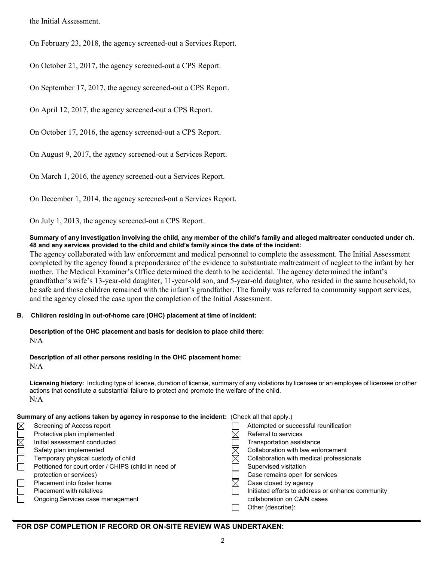the Initial Assessment.

On February 23, 2018, the agency screened-out a Services Report.

On October 21, 2017, the agency screened-out a CPS Report.

On September 17, 2017, the agency screened-out a CPS Report.

On April 12, 2017, the agency screened-out a CPS Report.

On October 17, 2016, the agency screened-out a CPS Report.

On August 9, 2017, the agency screened-out a Services Report.

On March 1, 2016, the agency screened-out a Services Report.

On December 1, 2014, the agency screened-out a Services Report.

On July 1, 2013, the agency screened-out a CPS Report.

#### **Summary of any investigation involving the child, any member of the child's family and alleged maltreater conducted under ch. 48 and any services provided to the child and child's family since the date of the incident:**

The agency collaborated with law enforcement and medical personnel to complete the assessment. The Initial Assessment completed by the agency found a preponderance of the evidence to substantiate maltreatment of neglect to the infant by her mother. The Medical Examiner's Office determined the death to be accidental. The agency determined the infant's grandfather's wife's 13-year-old daughter, 11-year-old son, and 5-year-old daughter, who resided in the same household, to be safe and those children remained with the infant's grandfather. The family was referred to community support services, and the agency closed the case upon the completion of the Initial Assessment.

## **B. Children residing in out-of-home care (OHC) placement at time of incident:**

**Description of the OHC placement and basis for decision to place child there:** N/A

**Description of all other persons residing in the OHC placement home:**

N/A

**Licensing history:** Including type of license, duration of license, summary of any violations by licensee or an employee of licensee or other actions that constitute a substantial failure to protect and promote the welfare of the child. N/A

| Summary of any actions taken by agency in response to the incident: (Check all that apply.) |  |
|---------------------------------------------------------------------------------------------|--|
|---------------------------------------------------------------------------------------------|--|

| Screening of Access report                           | Attempted or successful reunification             |
|------------------------------------------------------|---------------------------------------------------|
| Protective plan implemented                          | Referral to services                              |
| Initial assessment conducted                         | Transportation assistance                         |
| Safety plan implemented                              | Collaboration with law enforcement                |
| Temporary physical custody of child                  | Collaboration with medical professionals          |
| Petitioned for court order / CHIPS (child in need of | Supervised visitation                             |
| protection or services)                              | Case remains open for services                    |
| Placement into foster home                           | Case closed by agency                             |
| <b>Placement with relatives</b>                      | Initiated efforts to address or enhance community |
| Ongoing Services case management                     | collaboration on CA/N cases                       |
|                                                      | Other (describe):                                 |

## **FOR DSP COMPLETION IF RECORD OR ON-SITE REVIEW WAS UNDERTAKEN:**